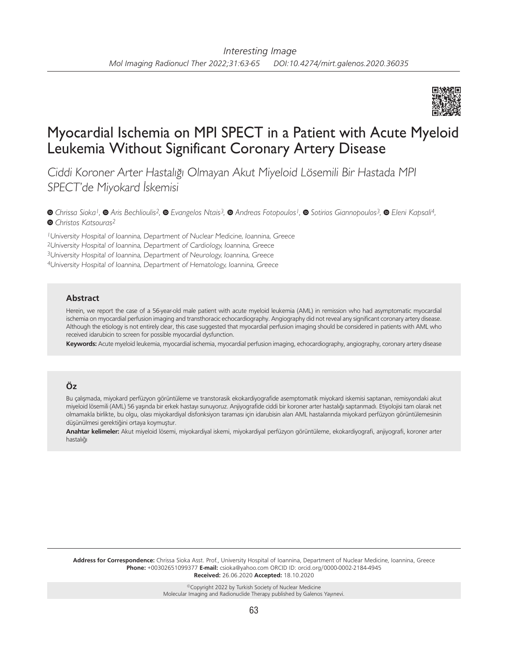

# Myocardial Ischemia on MPI SPECT in a Patient with Acute Myeloid Leukemia Without Significant Coronary Artery Disease

Ciddi Koroner Arter Hastalığı Olmayan Akut Miyeloid Lösemili Bir Hastada MPI SPECT'de Miyokard İskemisi

*Chrissa Sioka1,Aris Bechlioulis2,Evangelos Ntais3,Andreas Fotopoulos1,Sotirios Giannopoulos3,Eleni Kapsali4, Christos Katsouras2*

University Hospital of Ioannina, Department of Nuclear Medicine, Ioannina, Greece University Hospital of Ioannina, Department of Cardiology, Ioannina, Greece University Hospital of Ioannina, Department of Neurology, Ioannina, Greece University Hospital of Ioannina, Department of Hematology, Ioannina, Greece

### **Abstract**

Herein, we report the case of a 56-year-old male patient with acute myeloid leukemia (AML) in remission who had asymptomatic myocardial ischemia on myocardial perfusion imaging and transthoracic echocardiography. Angiography did not reveal any significant coronary artery disease. Although the etiology is not entirely clear, this case suggested that myocardial perfusion imaging should be considered in patients with AML who received idarubicin to screen for possible myocardial dysfunction.

**Keywords:** Acute myeloid leukemia, myocardial ischemia, myocardial perfusion imaging, echocardiography, angiography, coronary artery disease

## **Öz**

Bu çalışmada, miyokard perfüzyon görüntüleme ve transtorasik ekokardiyografide asemptomatik miyokard iskemisi saptanan, remisyondaki akut miyeloid lösemili (AML) 56 yaşında bir erkek hastayı sunuyoruz. Anjiyografide ciddi bir koroner arter hastalığı saptanmadı. Etiyolojisi tam olarak net olmamakla birlikte, bu olgu, olası miyokardiyal disfonksiyon taraması için idarubisin alan AML hastalarında miyokard perfüzyon görüntülemesinin düşünülmesi gerektiğini ortaya koymuştur.

**Anahtar kelimeler:** Akut miyeloid lösemi, miyokardiyal iskemi, miyokardiyal perfüzyon görüntüleme, ekokardiyografi, anjiyografi, koroner arter hastalığı

**Address for Correspondence:** Chrissa Sioka Asst. Prof., University Hospital of Ioannina, Department of Nuclear Medicine, Ioannina, Greece **Phone:** +00302651099377 **E-mail:** csioka@yahoo.com ORCID ID: orcid.org/0000-0002-2184-4945 **Received:** 26.06.2020 **Accepted:** 18.10.2020

> ©Copyright 2022 by Turkish Society of Nuclear Medicine Molecular Imaging and Radionuclide Therapy published by Galenos Yayınevi.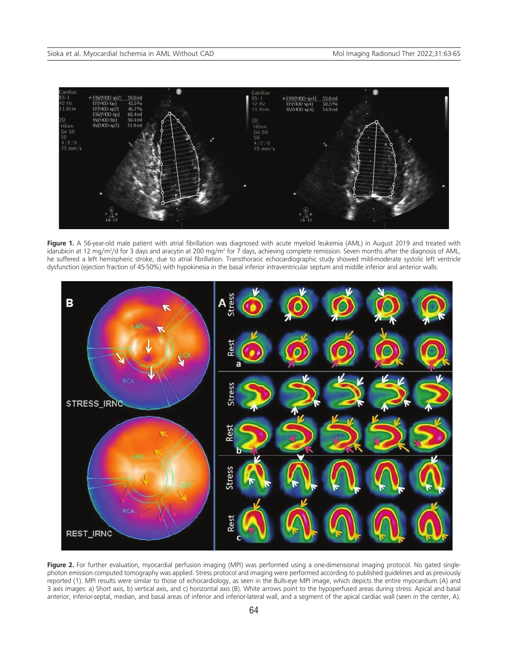

Figure 1. A 56-year-old male patient with atrial fibrillation was diagnosed with acute myeloid leukemia (AML) in August 2019 and treated with idarubicin at 12 mg/m<sup>2</sup>/d for 3 days and aracytin at 200 mg/m<sup>2</sup> for 7 days, achieving complete remission. Seven months after the diagnosis of AML, he suffered a left hemispheric stroke, due to atrial fibrillation. Transthoracic echocardiographic study showed mild-moderate systolic left ventricle dysfunction (ejection fraction of 45-50%) with hypokinesia in the basal inferior intraventricular septum and middle inferior and anterior walls.



Figure 2. For further evaluation, myocardial perfusion imaging (MPI) was performed using a one-dimensional imaging protocol. No gated singlephoton emission computed tomography was applied. Stress protocol and imaging were performed according to published guidelines and as previously reported (1). MPI results were similar to those of echocardiology, as seen in the Bulls-eye MPI image, which depicts the entire myocardium (A) and 3 axis images: a) Short axis, b) vertical axis, and c) horizontal axis (B). White arrows point to the hypoperfused areas during stress: Apical and basal anterior, inferior-septal, median, and basal areas of inferior and inferior-lateral wall, and a segment of the apical cardiac wall (seen in the center, A).